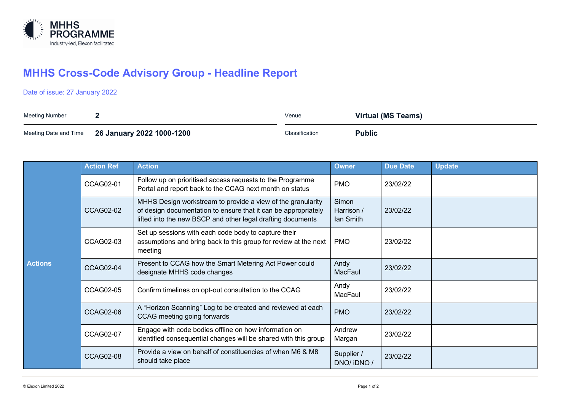

## **MHHS Cross-Code Advisory Group - Headline Report**

## Date of issue: 27 January 2022

| Meeting Number |                                                 | Venue          | <b>Virtual (MS Teams)</b> |
|----------------|-------------------------------------------------|----------------|---------------------------|
|                | Meeting Date and Time 26 January 2022 1000-1200 | Classification | <b>Public</b>             |

| <b>Actions</b> | <b>Action Ref</b> | <b>Action</b>                                                                                                                                                                                | <b>Owner</b>                     | <b>Due Date</b> | <b>Update</b> |
|----------------|-------------------|----------------------------------------------------------------------------------------------------------------------------------------------------------------------------------------------|----------------------------------|-----------------|---------------|
|                | CCAG02-01         | Follow up on prioritised access requests to the Programme<br>Portal and report back to the CCAG next month on status                                                                         | <b>PMO</b>                       | 23/02/22        |               |
|                | <b>CCAG02-02</b>  | MHHS Design workstream to provide a view of the granularity<br>of design documentation to ensure that it can be appropriately<br>lifted into the new BSCP and other legal drafting documents | Simon<br>Harrison /<br>lan Smith | 23/02/22        |               |
|                | CCAG02-03         | Set up sessions with each code body to capture their<br>assumptions and bring back to this group for review at the next<br>meeting                                                           | <b>PMO</b>                       | 23/02/22        |               |
|                | <b>CCAG02-04</b>  | Present to CCAG how the Smart Metering Act Power could<br>designate MHHS code changes                                                                                                        | Andy<br>MacFaul                  | 23/02/22        |               |
|                | CCAG02-05         | Confirm timelines on opt-out consultation to the CCAG                                                                                                                                        | Andy<br>MacFaul                  | 23/02/22        |               |
|                | <b>CCAG02-06</b>  | A "Horizon Scanning" Log to be created and reviewed at each<br>CCAG meeting going forwards                                                                                                   | <b>PMO</b>                       | 23/02/22        |               |
|                | <b>CCAG02-07</b>  | Engage with code bodies offline on how information on<br>identified consequential changes will be shared with this group                                                                     | Andrew<br>Margan                 | 23/02/22        |               |
|                | <b>CCAG02-08</b>  | Provide a view on behalf of constituencies of when M6 & M8<br>should take place                                                                                                              | Supplier /<br>DNO/ iDNO /        | 23/02/22        |               |